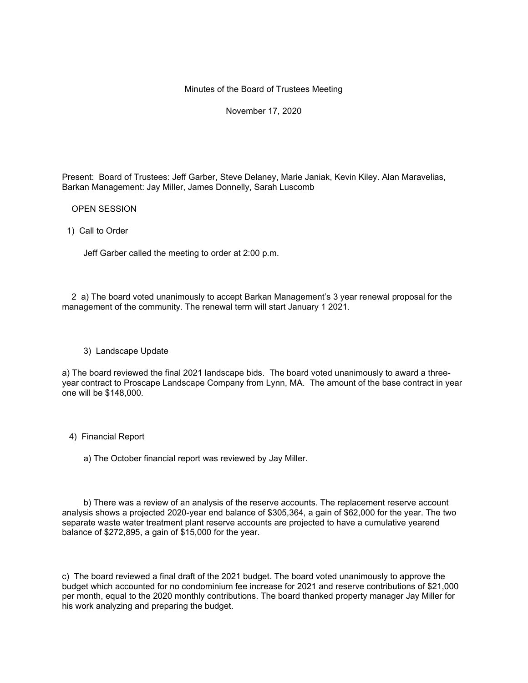## Minutes of the Board of Trustees Meeting

November 17, 2020

Present: Board of Trustees: Jeff Garber, Steve Delaney, Marie Janiak, Kevin Kiley. Alan Maravelias, Barkan Management: Jay Miller, James Donnelly, Sarah Luscomb

OPEN SESSION

1) Call to Order

Jeff Garber called the meeting to order at 2:00 p.m.

 2 a) The board voted unanimously to accept Barkan Management's 3 year renewal proposal for the management of the community. The renewal term will start January 1 2021.

## 3) Landscape Update

a) The board reviewed the final 2021 landscape bids. The board voted unanimously to award a threeyear contract to Proscape Landscape Company from Lynn, MA. The amount of the base contract in year one will be \$148,000.

## 4) Financial Report

a) The October financial report was reviewed by Jay Miller.

 b) There was a review of an analysis of the reserve accounts. The replacement reserve account analysis shows a projected 2020-year end balance of \$305,364, a gain of \$62,000 for the year. The two separate waste water treatment plant reserve accounts are projected to have a cumulative yearend balance of \$272,895, a gain of \$15,000 for the year.

c) The board reviewed a final draft of the 2021 budget. The board voted unanimously to approve the budget which accounted for no condominium fee increase for 2021 and reserve contributions of \$21,000 per month, equal to the 2020 monthly contributions. The board thanked property manager Jay Miller for his work analyzing and preparing the budget.